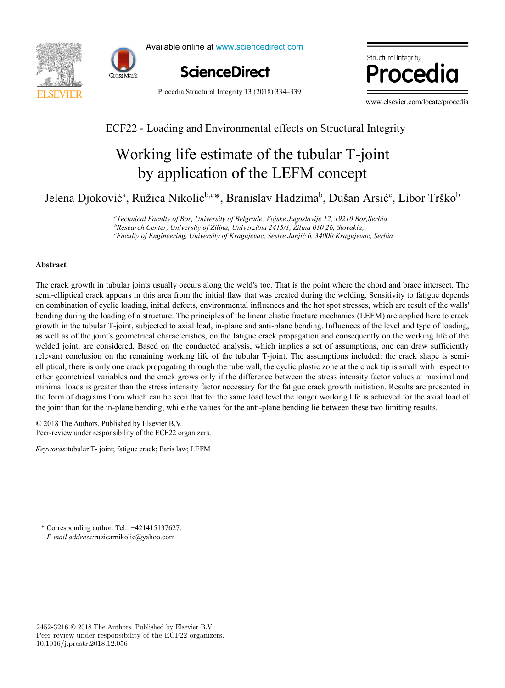



Available online at www.sciencedirect.com



Procedia Structural Integrity 13 (2018) 334–339

 $\bullet$  is a set of  $\bullet$ Structural Intearitu

www.elsevier.com/locate/procedia

# ECF22 - Loading and Environmental effects on Structural Integrity  $ECE22$   $I = 1$   $I = 1$   $I = 1$   $C_1 + 1$   $C_2 + 1$   $C_3 + 1$   $C_4 + 1$

# by application of the LEFM concept Working life estimate of the tubular T-joint Working life estimate of the tubular T-joint by application of the LEFM concept

Jelena Djoković<sup>a</sup>, Ružica Nikolić<sup>b,c\*</sup>, Branislav Hadzima<sup>b</sup>, Dušan Arsić<sup>c</sup>, Libor Trško<sup>b</sup>  $\mathbf{L}$  Jelena Diokovića Djelena Djelena Djelena Djelena Djelena Djelena Djelena Djelena Djelena Djelena Djelena Djelena Djelena Djelena Djelena Djelena Djelena Djelena Djelena Djelena Djelena Djelena Djelena Djelena Dje

> e<br>Technical Faculty of Bor, University of Belgrade, Vojske Jugoslavije 12, 19210 Bor,Serbia <sup>c</sup>Faculty of Engineering, University of Kragujevac, Sestre Janjić 6, 34000 Kragujevac, Serbia<sup>.</sup><br> <sup>b</sup>Research Center, University of Žilina, Univerzitna 2415/1, Žilina 010 26, Slovakia;

## **Abstract**

The crack growth in tubular joints usually occurs along the weld's toe. That is the point where the chord and brace intersect. The semi-elliptical crack appears in this area from the initial flaw that was created during the welding. Sensitivity to fatigue depends on combination of cyclic loading, initial defects, environmental influences and the hot spot stresses, which are result of the walls' growth in the tubular T-joint, subjected to axial load, in-plane and anti-plane bending. Influences of the level and type of loading, welded joint, are considered. Based on the conducted analysis, which implies a set of assumptions, one can draw sufficiently relevant conclusion on the remaining working life of the tubular T-joint. The assumptions included: the crack shape is semielliptical, there is only one crack propagating through the tube wall, the cyclic plastic zone at the crack tip is small with respect to other geometrical variables and the crack grows only if the difference between the stress intensity factor values at maximal and minimal loads is greater than the stress intensity factor necessary for the fatigue crack growth initiation. Results are presented in the form of diagrams from which can be seen that for the same load level the longer working life is achieved for the axial load of the joint than for the in-plane bending, while the values for the anti-plane bending lie between these two limiting results. bending during the loading of a structure. The principles of the linear elastic fracture mechanics (LEFM) are applied here to crack as well as of the joint's geometrical characteristics, on the fatigue crack propagation and consequently on the working life of the

rectangular block shape, in order to better establish the model, and then with the real 3D mesh obtained from the blade scrap. The © 2018 The Authors. Published by Elsevier B.V.  $\geq$  2018 The Authors. Published by Elsevier B.V.<br>Peer-review under responsibility of the ECF22 organizers. Peer-review under responsibility of the ECF22 organizers. Peer-review under responsibility of the ECF22 organizers. Peer-review under responsibility of the ECF22 organizers.

*Keywords:*tubular T- joint; fatigue crack; Paris law; LEFM

Peer-review under responsibility of the Scientific Committee of PCF 2016.

E-mail address: ruzicarnikolic@yahoo.com \* Corresponding author. Tel.: +421415137627.

2452-3216  $\odot$  2018 The Authors. Published by Elsevier B.V. Peer-review under responsibility of the ECF22 organizers. 10.1016/j.prostr.2018.12.056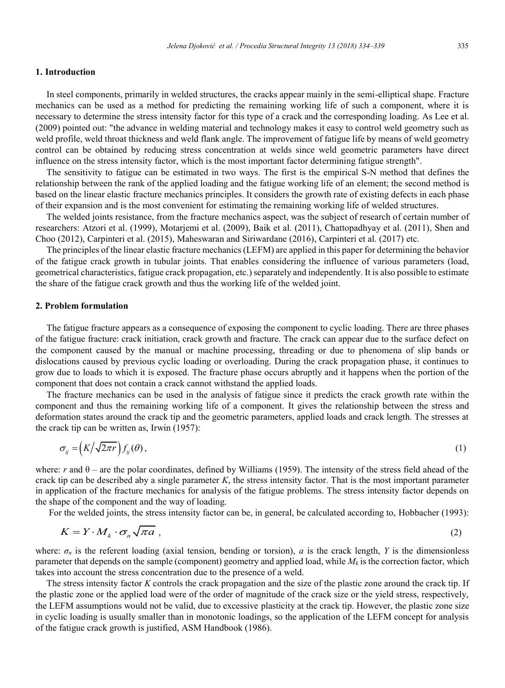### **1. Introduction**

In steel components, primarily in welded structures, the cracks appear mainly in the semi-elliptical shape. Fracture mechanics can be used as a method for predicting the remaining working life of such a component, where it is necessary to determine the stress intensity factor for this type of a crack and the corresponding loading. As Lee et al. (2009) pointed out: "the advance in welding material and technology makes it easy to control weld geometry such as weld profile, weld throat thickness and weld flank angle. The improvement of fatigue life by means of weld geometry control can be obtained by reducing stress concentration at welds since weld geometric parameters have direct influence on the stress intensity factor, which is the most important factor determining fatigue strength".

The sensitivity to fatigue can be estimated in two ways. The first is the empirical S-N method that defines the relationship between the rank of the applied loading and the fatigue working life of an element; the second method is based on the linear elastic fracture mechanics principles. It considers the growth rate of existing defects in each phase of their expansion and is the most convenient for estimating the remaining working life of welded structures.

The welded joints resistance, from the fracture mechanics aspect, was the subject of research of certain number of researchers: Atzori et al. (1999), Motarjemi et al. (2009), Baik et al. (2011), Chattopadhyay et al. (2011), Shen and Choo (2012), Carpinteri et al. (2015), Maheswaran and Siriwardane (2016), Carpinteri et al. (2017) etc.

The principles of the linear elastic fracture mechanics (LEFM) are applied in this paper for determining the behavior of the fatigue crack growth in tubular joints. That enables considering the influence of various parameters (load, geometrical characteristics, fatigue crack propagation, etc.) separately and independently. It is also possible to estimate the share of the fatigue crack growth and thus the working life of the welded joint.

### **2. Problem formulation**

The fatigue fracture appears as a consequence of exposing the component to cyclic loading. There are three phases of the fatigue fracture: crack initiation, crack growth and fracture. The crack can appear due to the surface defect on the component caused by the manual or machine processing, threading or due to phenomena of slip bands or dislocations caused by previous cyclic loading or overloading. During the crack propagation phase, it continues to grow due to loads to which it is exposed. The fracture phase occurs abruptly and it happens when the portion of the component that does not contain a crack cannot withstand the applied loads.

The fracture mechanics can be used in the analysis of fatigue since it predicts the crack growth rate within the component and thus the remaining working life of a component. It gives the relationship between the stress and deformation states around the crack tip and the geometric parameters, applied loads and crack length. The stresses at the crack tip can be written as, Irwin (1957):

$$
\sigma_{ij} = \left(K/\sqrt{2\pi r}\right) f_{ij}(\theta),\tag{1}
$$

where: *r* and  $\theta$  – are the polar coordinates, defined by Williams (1959). The intensity of the stress field ahead of the crack tip can be described aby a single parameter  $K$ , the stress intensity factor. That is the most important parameter in application of the fracture mechanics for analysis of the fatigue problems. The stress intensity factor depends on the shape of the component and the way of loading.

For the welded joints, the stress intensity factor can be, in general, be calculated according to, Hobbacher (1993):

$$
K = Y \cdot M_k \cdot \sigma_n \sqrt{\pi a} \tag{2}
$$

where:  $\sigma_n$  is the referent loading (axial tension, bending or torsion), *a* is the crack length, *Y* is the dimensionless parameter that depends on the sample (component) geometry and applied load, while  $M_k$  is the correction factor, which takes into account the stress concentration due to the presence of a weld.

The stress intensity factor *K* controls the crack propagation and the size of the plastic zone around the crack tip. If the plastic zone or the applied load were of the order of magnitude of the crack size or the yield stress, respectively, the LEFM assumptions would not be valid, due to excessive plasticity at the crack tip. However, the plastic zone size in cyclic loading is usually smaller than in monotonic loadings, so the application of the LEFM concept for analysis of the fatigue crack growth is justified, ASM Handbook (1986).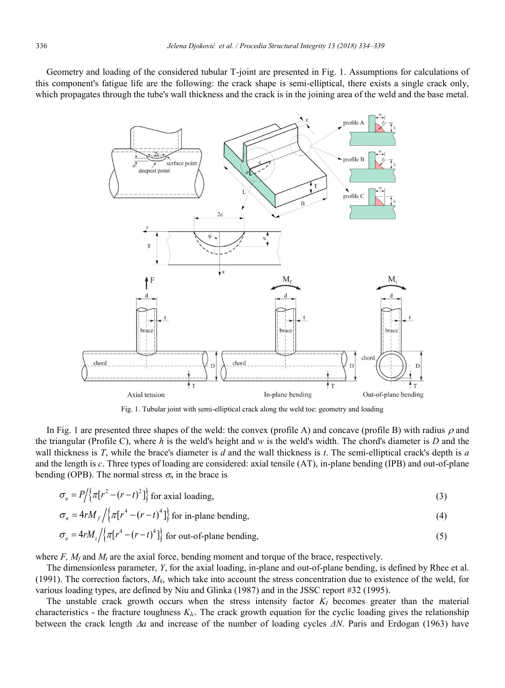Geometry and loading of the considered tubular T-joint are presented in Fig. 1. Assumptions for calculations of this component's fatigue life are the following: the crack shape is semi-elliptical, there exists a single crack only, which propagates through the tube's wall thickness and the crack is in the joining area of the weld and the base metal.



Fig. 1. Tubular joint with semi-elliptical crack along the weld toe: geometry and loading

In Fig. 1 are presented three shapes of the weld: the convex (profile A) and concave (profile B) with radius  $\rho$  and the triangular (Profile C), where *h* is the weld's height and  $w$  is the weld's width. The chord's diameter is  $D$  and the wall thickness is *T*, while the brace's diameter is *d* and the wall thickness is *t*. The semi-elliptical crack's depth is *a* and the length is *c*. Three types of loading are considered: axial tensile (AT), in-plane bending (IPB) and out-of-plane bending (OPB). The normal stress  $\sigma_n$  in the brace is

$$
\sigma_n = P / \{ \pi [r^2 - (r - t)^2] \}
$$
 for axial loading, (3)

$$
\sigma_n = 4rM_f \left\{ \pi [r^4 - (r - t)^4] \right\} \text{ for in-plane bending,}
$$
\n
$$
\sigma_n = 4rM_f \left\{ \pi [r^4 - (r - t)^4] \right\} \text{ for out-of-plane bending,}
$$
\n(5)

$$
O_n = \frac{47M_t}{\lambda \left[\frac{1}{\lambda}\right]^{n}} = (r - t) \frac{1}{\lambda}
$$
 for out-of-plane bending,

where  $F$ ,  $M_f$  and  $M_t$  are the axial force, bending moment and torque of the brace, respectively.

The dimensionless parameter, *Y*, for the axial loading, in-plane and out-of-plane bending, is defined by Rhee et al. (1991). The correction factors,  $M_k$ , which take into account the stress concentration due to existence of the weld, for various loading types, are defined by Niu and Glinka (1987) and in the JSSC report #32 (1995).

The unstable crack growth occurs when the stress intensity factor  $K_I$  becomes greater than the material characteristics - the fracture toughness *KIc*. The crack growth equation for the cyclic loading gives the relationship between the crack length *a* and increase of the number of loading cycles *ΔN*. Paris and Erdogan (1963) have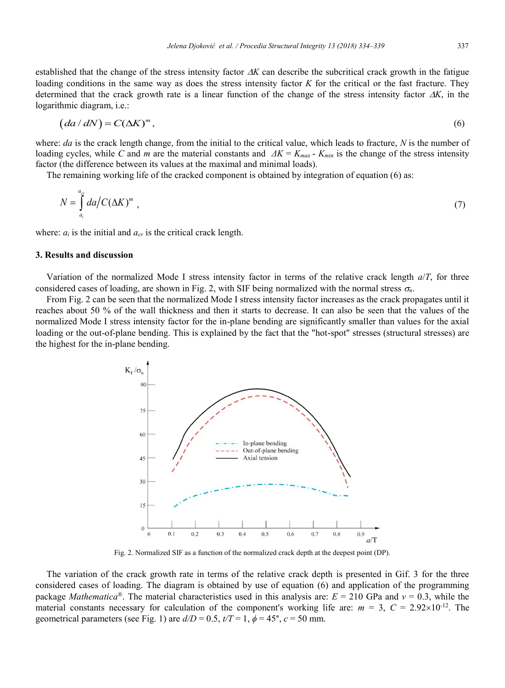established that the change of the stress intensity factor  $\Delta K$  can describe the subcritical crack growth in the fatigue loading conditions in the same way as does the stress intensity factor *K* for the critical or the fast fracture. They determined that the crack growth rate is a linear function of the change of the stress intensity factor  $\Delta K$ , in the logarithmic diagram, i.e.:

$$
(da/dN) = C(\Delta K)^m, \tag{6}
$$

where: *da* is the crack length change, from the initial to the critical value, which leads to fracture, *N* is the number of loading cycles, while *C* and *m* are the material constants and  $\Delta K = K_{max}$  -  $K_{min}$  is the change of the stress intensity factor (the difference between its values at the maximal and minimal loads).

The remaining working life of the cracked component is obtained by integration of equation (6) as:

$$
N = \int_{a_i}^{a_{cr}} da / C(\Delta K)^m \tag{7}
$$

where:  $a_i$  is the initial and  $a_{cr}$  is the critical crack length.

## **3. Results and discussion**

Variation of the normalized Mode I stress intensity factor in terms of the relative crack length *a*/*T*, for three considered cases of loading, are shown in Fig. 2, with SIF being normalized with the normal stress *n*.

From Fig. 2 can be seen that the normalized Mode I stress intensity factor increases as the crack propagates until it reaches about 50 % of the wall thickness and then it starts to decrease. It can also be seen that the values of the normalized Mode I stress intensity factor for the in-plane bending are significantly smaller than values for the axial loading or the out-of-plane bending. This is explained by the fact that the "hot-spot" stresses (structural stresses) are the highest for the in-plane bending.



Fig. 2. Normalized SIF as a function of the normalized crack depth at the deepest point (DP).

The variation of the crack growth rate in terms of the relative crack depth is presented in Gif. 3 for the three considered cases of loading. The diagram is obtained by use of equation (6) and application of the programming package *Mathematica*®. The material characteristics used in this analysis are: *E* = 210 GPa and *ν* = 0.3, while the material constants necessary for calculation of the component's working life are:  $m = 3$ ,  $C = 2.92 \times 10^{-12}$ . The geometrical parameters (see Fig. 1) are  $d/D = 0.5$ ,  $t/T = 1$ ,  $\phi = 45^{\circ}$ ,  $c = 50$  mm.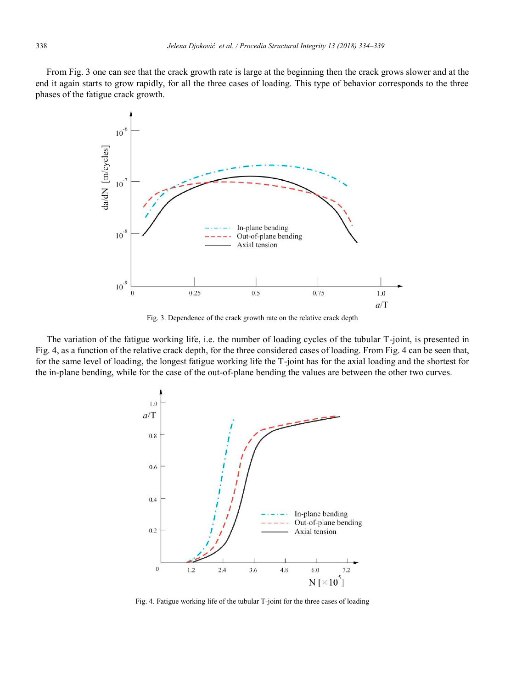From Fig. 3 one can see that the crack growth rate is large at the beginning then the crack grows slower and at the end it again starts to grow rapidly, for all the three cases of loading. This type of behavior corresponds to the three phases of the fatigue crack growth.



Fig. 3. Dependence of the crack growth rate on the relative crack depth

The variation of the fatigue working life, i.e. the number of loading cycles of the tubular T-joint, is presented in Fig. 4, as a function of the relative crack depth, for the three considered cases of loading. From Fig. 4 can be seen that, for the same level of loading, the longest fatigue working life the T-joint has for the axial loading and the shortest for the in-plane bending, while for the case of the out-of-plane bending the values are between the other two curves.



Fig. 4. Fatigue working life of the tubular T-joint for the three cases of loading